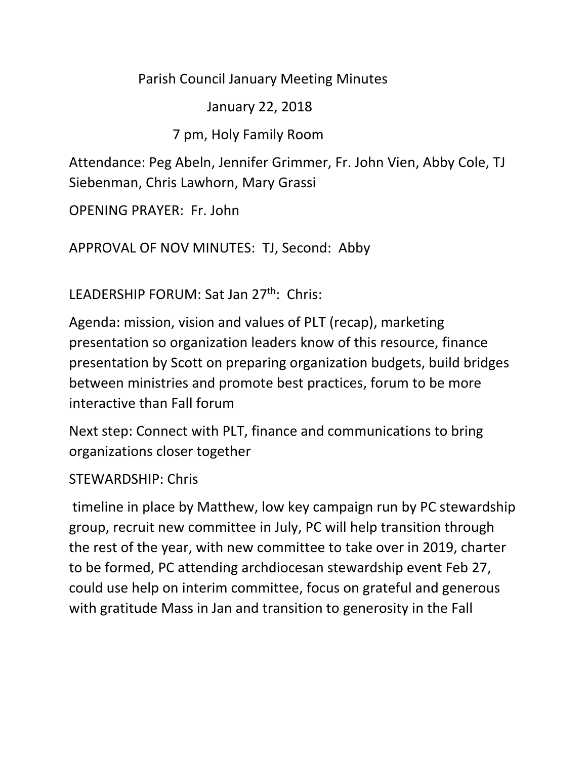## Parish Council January Meeting Minutes

## January 22, 2018

## 7 pm, Holy Family Room

Attendance: Peg Abeln, Jennifer Grimmer, Fr. John Vien, Abby Cole, TJ Siebenman, Chris Lawhorn, Mary Grassi

OPENING PRAYER: Fr. John

APPROVAL OF NOV MINUTES: TJ, Second: Abby

LEADERSHIP FORUM: Sat Jan 27<sup>th</sup>: Chris:

Agenda: mission, vision and values of PLT (recap), marketing presentation so organization leaders know of this resource, finance presentation by Scott on preparing organization budgets, build bridges between ministries and promote best practices, forum to be more interactive than Fall forum

Next step: Connect with PLT, finance and communications to bring organizations closer together

STEWARDSHIP: Chris

timeline in place by Matthew, low key campaign run by PC stewardship group, recruit new committee in July, PC will help transition through the rest of the year, with new committee to take over in 2019, charter to be formed, PC attending archdiocesan stewardship event Feb 27, could use help on interim committee, focus on grateful and generous with gratitude Mass in Jan and transition to generosity in the Fall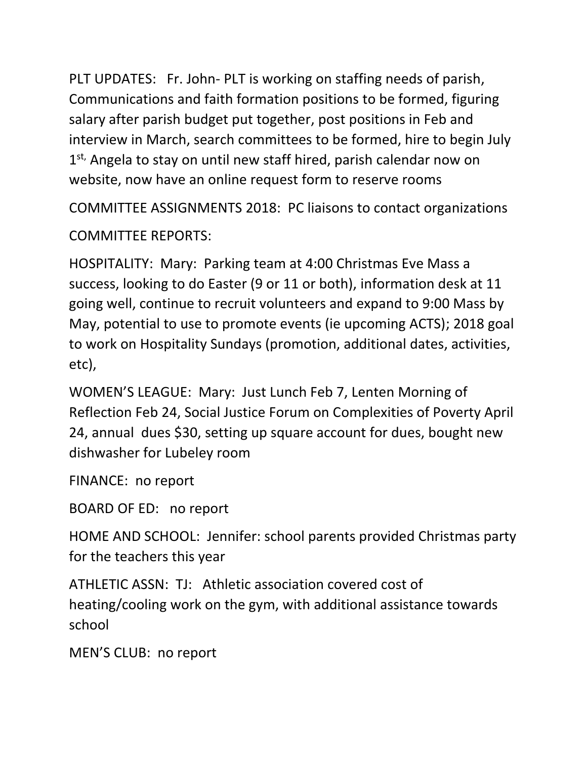PLT UPDATES: Fr. John- PLT is working on staffing needs of parish, Communications and faith formation positions to be formed, figuring salary after parish budget put together, post positions in Feb and interview in March, search committees to be formed, hire to begin July 1<sup>st,</sup> Angela to stay on until new staff hired, parish calendar now on website, now have an online request form to reserve rooms

COMMITTEE ASSIGNMENTS 2018: PC liaisons to contact organizations COMMITTEE REPORTS:

HOSPITALITY: Mary: Parking team at 4:00 Christmas Eve Mass a success, looking to do Easter (9 or 11 or both), information desk at 11 going well, continue to recruit volunteers and expand to 9:00 Mass by May, potential to use to promote events (ie upcoming ACTS); 2018 goal to work on Hospitality Sundays (promotion, additional dates, activities, etc),

WOMEN'S LEAGUE: Mary: Just Lunch Feb 7, Lenten Morning of Reflection Feb 24, Social Justice Forum on Complexities of Poverty April 24, annual dues \$30, setting up square account for dues, bought new dishwasher for Lubeley room

FINANCE: no report

BOARD OF ED: no report

HOME AND SCHOOL: Jennifer: school parents provided Christmas party for the teachers this year

ATHLETIC ASSN: TJ: Athletic association covered cost of heating/cooling work on the gym, with additional assistance towards school

MEN'S CLUB: no report